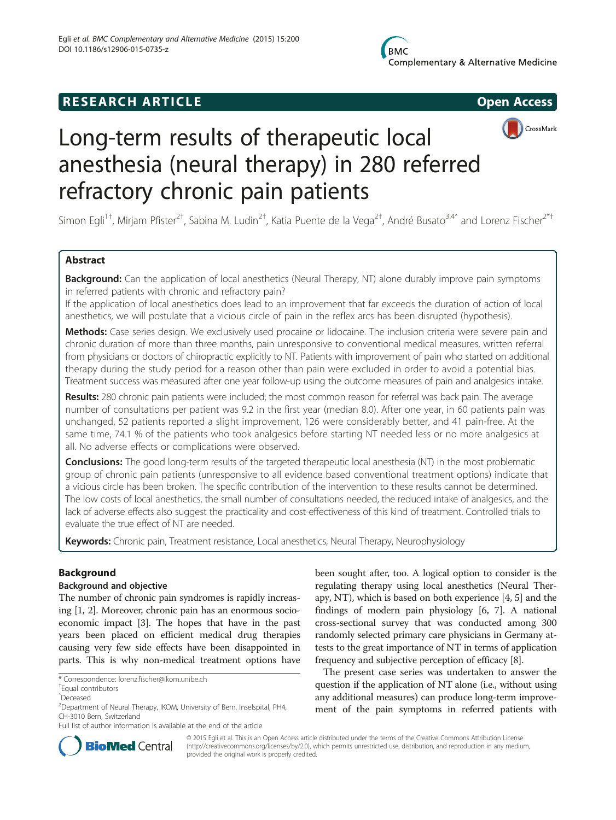## **RESEARCH ARTICLE Example 2014 12:30 The SEAR CHA RESEARCH ARTICLE**





# Long-term results of therapeutic local anesthesia (neural therapy) in 280 referred refractory chronic pain patients

Simon Egli<sup>1†</sup>, Mirjam Pfister<sup>2†</sup>, Sabina M. Ludin<sup>2†</sup>, Katia Puente de la Vega<sup>2†</sup>, André Busato<sup>3,4^</sup> and Lorenz Fischer<sup>2\*†</sup>

### Abstract

Background: Can the application of local anesthetics (Neural Therapy, NT) alone durably improve pain symptoms in referred patients with chronic and refractory pain?

If the application of local anesthetics does lead to an improvement that far exceeds the duration of action of local anesthetics, we will postulate that a vicious circle of pain in the reflex arcs has been disrupted (hypothesis).

Methods: Case series design. We exclusively used procaine or lidocaine. The inclusion criteria were severe pain and chronic duration of more than three months, pain unresponsive to conventional medical measures, written referral from physicians or doctors of chiropractic explicitly to NT. Patients with improvement of pain who started on additional therapy during the study period for a reason other than pain were excluded in order to avoid a potential bias. Treatment success was measured after one year follow-up using the outcome measures of pain and analgesics intake.

Results: 280 chronic pain patients were included; the most common reason for referral was back pain. The average number of consultations per patient was 9.2 in the first year (median 8.0). After one year, in 60 patients pain was unchanged, 52 patients reported a slight improvement, 126 were considerably better, and 41 pain-free. At the same time, 74.1 % of the patients who took analgesics before starting NT needed less or no more analgesics at all. No adverse effects or complications were observed.

**Conclusions:** The good long-term results of the targeted therapeutic local anesthesia (NT) in the most problematic group of chronic pain patients (unresponsive to all evidence based conventional treatment options) indicate that a vicious circle has been broken. The specific contribution of the intervention to these results cannot be determined. The low costs of local anesthetics, the small number of consultations needed, the reduced intake of analgesics, and the lack of adverse effects also suggest the practicality and cost-effectiveness of this kind of treatment. Controlled trials to evaluate the true effect of NT are needed.

Keywords: Chronic pain, Treatment resistance, Local anesthetics, Neural Therapy, Neurophysiology

### Background

#### Background and objective

The number of chronic pain syndromes is rapidly increasing [\[1, 2\]](#page-7-0). Moreover, chronic pain has an enormous socioeconomic impact [\[3\]](#page-7-0). The hopes that have in the past years been placed on efficient medical drug therapies causing very few side effects have been disappointed in parts. This is why non-medical treatment options have



The present case series was undertaken to answer the question if the application of NT alone (i.e., without using any additional measures) can produce long-term improvement of the pain symptoms in referred patients with



© 2015 Egli et al. This is an Open Access article distributed under the terms of the Creative Commons Attribution License [\(http://creativecommons.org/licenses/by/2.0\)](http://creativecommons.org/licenses/by/2.0), which permits unrestricted use, distribution, and reproduction in any medium, provided the original work is properly credited.

<sup>\*</sup> Correspondence: [lorenz.fischer@ikom.unibe.ch](mailto:lorenz.fischer@ikom.unibe.ch) †

Equal contributors

ˆDeceased

<sup>&</sup>lt;sup>2</sup>Department of Neural Therapy, IKOM, University of Bern, Inselspital, PH4, CH-3010 Bern, Switzerland

Full list of author information is available at the end of the article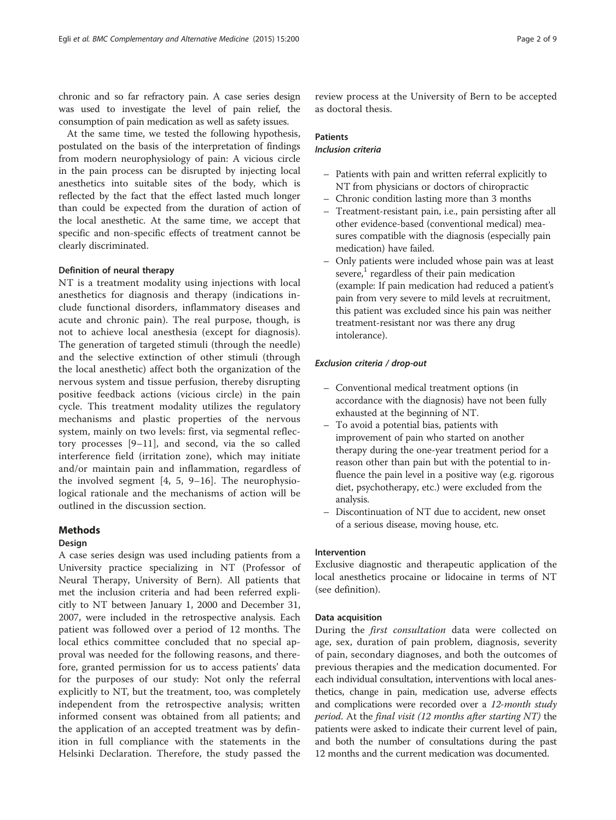chronic and so far refractory pain. A case series design was used to investigate the level of pain relief, the consumption of pain medication as well as safety issues.

At the same time, we tested the following hypothesis, postulated on the basis of the interpretation of findings from modern neurophysiology of pain: A vicious circle in the pain process can be disrupted by injecting local anesthetics into suitable sites of the body, which is reflected by the fact that the effect lasted much longer than could be expected from the duration of action of the local anesthetic. At the same time, we accept that specific and non-specific effects of treatment cannot be clearly discriminated.

#### Definition of neural therapy

NT is a treatment modality using injections with local anesthetics for diagnosis and therapy (indications include functional disorders, inflammatory diseases and acute and chronic pain). The real purpose, though, is not to achieve local anesthesia (except for diagnosis). The generation of targeted stimuli (through the needle) and the selective extinction of other stimuli (through the local anesthetic) affect both the organization of the nervous system and tissue perfusion, thereby disrupting positive feedback actions (vicious circle) in the pain cycle. This treatment modality utilizes the regulatory mechanisms and plastic properties of the nervous system, mainly on two levels: first, via segmental reflectory processes [[9](#page-7-0)–[11](#page-8-0)], and second, via the so called interference field (irritation zone), which may initiate and/or maintain pain and inflammation, regardless of the involved segment [[4, 5](#page-7-0), [9](#page-7-0)–[16\]](#page-8-0). The neurophysiological rationale and the mechanisms of action will be outlined in the discussion section.

#### Methods

#### Design

A case series design was used including patients from a University practice specializing in NT (Professor of Neural Therapy, University of Bern). All patients that met the inclusion criteria and had been referred explicitly to NT between January 1, 2000 and December 31, 2007, were included in the retrospective analysis. Each patient was followed over a period of 12 months. The local ethics committee concluded that no special approval was needed for the following reasons, and therefore, granted permission for us to access patients' data for the purposes of our study: Not only the referral explicitly to NT, but the treatment, too, was completely independent from the retrospective analysis; written informed consent was obtained from all patients; and the application of an accepted treatment was by definition in full compliance with the statements in the Helsinki Declaration. Therefore, the study passed the

review process at the University of Bern to be accepted as doctoral thesis.

### **Patients**

#### Inclusion criteria

- Patients with pain and written referral explicitly to NT from physicians or doctors of chiropractic
- Chronic condition lasting more than 3 months
- Treatment-resistant pain, i.e., pain persisting after all other evidence-based (conventional medical) measures compatible with the diagnosis (especially pain medication) have failed.
- Only patients were included whose pain was at least severe, $<sup>1</sup>$  regardless of their pain medication</sup> (example: If pain medication had reduced a patient's pain from very severe to mild levels at recruitment, this patient was excluded since his pain was neither treatment-resistant nor was there any drug intolerance).

#### Exclusion criteria / drop-out

- Conventional medical treatment options (in accordance with the diagnosis) have not been fully exhausted at the beginning of NT.
- To avoid a potential bias, patients with improvement of pain who started on another therapy during the one-year treatment period for a reason other than pain but with the potential to influence the pain level in a positive way (e.g. rigorous diet, psychotherapy, etc.) were excluded from the analysis.
- Discontinuation of NT due to accident, new onset of a serious disease, moving house, etc.

#### Intervention

Exclusive diagnostic and therapeutic application of the local anesthetics procaine or lidocaine in terms of NT (see definition).

#### Data acquisition

During the *first consultation* data were collected on age, sex, duration of pain problem, diagnosis, severity of pain, secondary diagnoses, and both the outcomes of previous therapies and the medication documented. For each individual consultation, interventions with local anesthetics, change in pain, medication use, adverse effects and complications were recorded over a 12-month study period. At the final visit (12 months after starting NT) the patients were asked to indicate their current level of pain, and both the number of consultations during the past 12 months and the current medication was documented.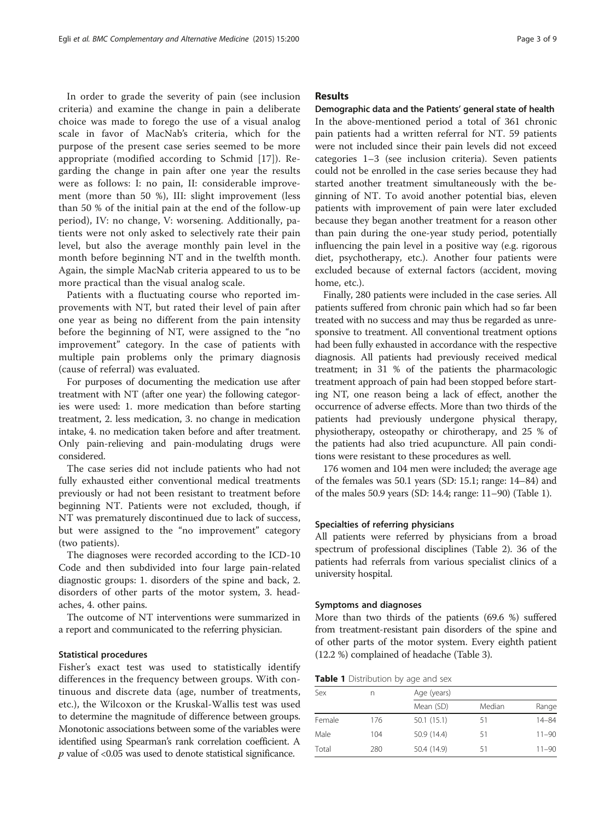In order to grade the severity of pain (see inclusion criteria) and examine the change in pain a deliberate choice was made to forego the use of a visual analog scale in favor of MacNab's criteria, which for the purpose of the present case series seemed to be more appropriate (modified according to Schmid [[17\]](#page-8-0)). Regarding the change in pain after one year the results were as follows: I: no pain, II: considerable improvement (more than 50 %), III: slight improvement (less than 50 % of the initial pain at the end of the follow-up period), IV: no change, V: worsening. Additionally, patients were not only asked to selectively rate their pain level, but also the average monthly pain level in the month before beginning NT and in the twelfth month. Again, the simple MacNab criteria appeared to us to be more practical than the visual analog scale.

Patients with a fluctuating course who reported improvements with NT, but rated their level of pain after one year as being no different from the pain intensity before the beginning of NT, were assigned to the "no improvement" category. In the case of patients with multiple pain problems only the primary diagnosis (cause of referral) was evaluated.

For purposes of documenting the medication use after treatment with NT (after one year) the following categories were used: 1. more medication than before starting treatment, 2. less medication, 3. no change in medication intake, 4. no medication taken before and after treatment. Only pain-relieving and pain-modulating drugs were considered.

The case series did not include patients who had not fully exhausted either conventional medical treatments previously or had not been resistant to treatment before beginning NT. Patients were not excluded, though, if NT was prematurely discontinued due to lack of success, but were assigned to the "no improvement" category (two patients).

The diagnoses were recorded according to the ICD-10 Code and then subdivided into four large pain-related diagnostic groups: 1. disorders of the spine and back, 2. disorders of other parts of the motor system, 3. headaches, 4. other pains.

The outcome of NT interventions were summarized in a report and communicated to the referring physician.

#### Statistical procedures

Fisher's exact test was used to statistically identify differences in the frequency between groups. With continuous and discrete data (age, number of treatments, etc.), the Wilcoxon or the Kruskal-Wallis test was used to determine the magnitude of difference between groups. Monotonic associations between some of the variables were identified using Spearman's rank correlation coefficient. A  $p$  value of <0.05 was used to denote statistical significance.

#### Results

Demographic data and the Patients' general state of health In the above-mentioned period a total of 361 chronic pain patients had a written referral for NT. 59 patients were not included since their pain levels did not exceed categories 1–3 (see inclusion criteria). Seven patients could not be enrolled in the case series because they had started another treatment simultaneously with the beginning of NT. To avoid another potential bias, eleven patients with improvement of pain were later excluded because they began another treatment for a reason other than pain during the one-year study period, potentially influencing the pain level in a positive way (e.g. rigorous diet, psychotherapy, etc.). Another four patients were excluded because of external factors (accident, moving home, etc.).

Finally, 280 patients were included in the case series. All patients suffered from chronic pain which had so far been treated with no success and may thus be regarded as unresponsive to treatment. All conventional treatment options had been fully exhausted in accordance with the respective diagnosis. All patients had previously received medical treatment; in 31 % of the patients the pharmacologic treatment approach of pain had been stopped before starting NT, one reason being a lack of effect, another the occurrence of adverse effects. More than two thirds of the patients had previously undergone physical therapy, physiotherapy, osteopathy or chirotherapy, and 25 % of the patients had also tried acupuncture. All pain conditions were resistant to these procedures as well.

176 women and 104 men were included; the average age of the females was 50.1 years (SD: 15.1; range: 14–84) and of the males 50.9 years (SD: 14.4; range: 11–90) (Table 1).

#### Specialties of referring physicians

All patients were referred by physicians from a broad spectrum of professional disciplines (Table [2](#page-3-0)). 36 of the patients had referrals from various specialist clinics of a university hospital.

#### Symptoms and diagnoses

More than two thirds of the patients (69.6 %) suffered from treatment-resistant pain disorders of the spine and of other parts of the motor system. Every eighth patient (12.2 %) complained of headache (Table [3](#page-3-0)).

Table 1 Distribution by age and sex

| Sex    | n   | Age (years) |        |           |  |  |  |  |
|--------|-----|-------------|--------|-----------|--|--|--|--|
|        |     | Mean (SD)   | Median | Range     |  |  |  |  |
| Female | 176 | 50.1(15.1)  | 51     | $14 - 84$ |  |  |  |  |
| Male   | 104 | 50.9 (14.4) | 51     | $11 - 90$ |  |  |  |  |
| Total  | 280 | 50.4 (14.9) | 51     | $11 - 90$ |  |  |  |  |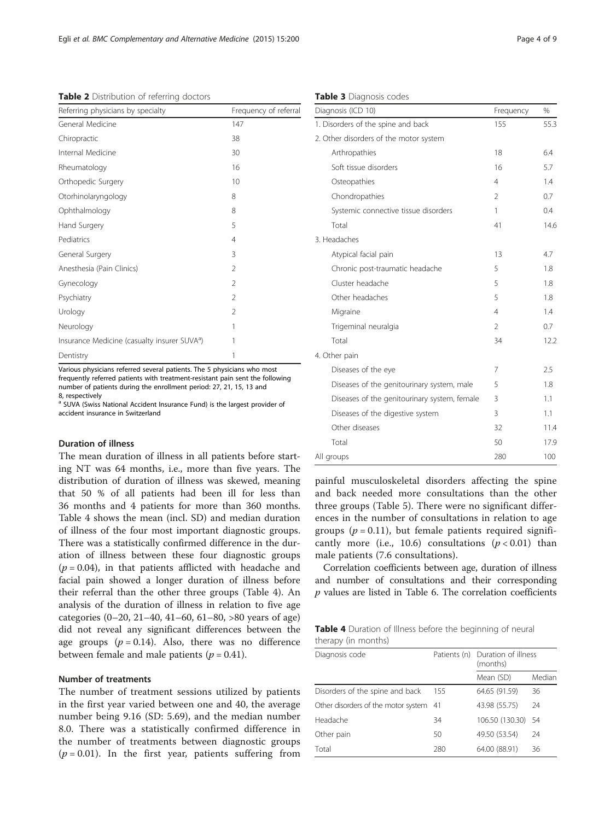<span id="page-3-0"></span>Table 2 Distribution of referring doctors

| Referring physicians by specialty                        | Frequency of referral |
|----------------------------------------------------------|-----------------------|
| General Medicine                                         | 147                   |
| Chiropractic                                             | 38                    |
| Internal Medicine                                        | 30                    |
| Rheumatology                                             | 16                    |
| Orthopedic Surgery                                       | 10                    |
| Otorhinolaryngology                                      | 8                     |
| Ophthalmology                                            | 8                     |
| Hand Surgery                                             | 5                     |
| Pediatrics                                               | 4                     |
| General Surgery                                          | 3                     |
| Anesthesia (Pain Clinics)                                | $\overline{2}$        |
| Gynecology                                               | 2                     |
| Psychiatry                                               | $\mathfrak{D}$        |
| Urology                                                  | $\mathcal{P}$         |
| Neurology                                                | 1                     |
| Insurance Medicine (casualty insurer SUVA <sup>d</sup> ) | 1                     |
| Dentistry                                                | 1                     |

Various physicians referred several patients. The 5 physicians who most frequently referred patients with treatment-resistant pain sent the following number of patients during the enrollment period: 27, 21, 15, 13 and 8, respectively

<sup>a</sup> SUVA (Swiss National Accident Insurance Fund) is the largest provider of accident insurance in Switzerland

#### Duration of illness

The mean duration of illness in all patients before starting NT was 64 months, i.e., more than five years. The distribution of duration of illness was skewed, meaning that 50 % of all patients had been ill for less than 36 months and 4 patients for more than 360 months. Table 4 shows the mean (incl. SD) and median duration of illness of the four most important diagnostic groups. There was a statistically confirmed difference in the duration of illness between these four diagnostic groups  $(p = 0.04)$ , in that patients afflicted with headache and facial pain showed a longer duration of illness before their referral than the other three groups (Table 4). An analysis of the duration of illness in relation to five age categories (0–20, 21–40, 41–60, 61–80, >80 years of age) did not reveal any significant differences between the age groups  $(p = 0.14)$ . Also, there was no difference between female and male patients ( $p = 0.41$ ).

#### Number of treatments

The number of treatment sessions utilized by patients in the first year varied between one and 40, the average number being 9.16 (SD: 5.69), and the median number 8.0. There was a statistically confirmed difference in the number of treatments between diagnostic groups  $(p = 0.01)$ . In the first year, patients suffering from

| Diagnosis (ICD 10)                           | Frequency      | %    |
|----------------------------------------------|----------------|------|
| 1. Disorders of the spine and back           | 155            | 55.3 |
| 2. Other disorders of the motor system       |                |      |
| Arthropathies                                | 18             | 6.4  |
| Soft tissue disorders                        | 16             | 5.7  |
| Osteopathies                                 | $\overline{4}$ | 1.4  |
| Chondropathies                               | 2              | 0.7  |
| Systemic connective tissue disorders         | 1              | 0.4  |
| Total                                        | 41             | 14.6 |
| 3. Headaches                                 |                |      |
| Atypical facial pain                         | 13             | 4.7  |
| Chronic post-traumatic headache              | 5              | 1.8  |
| Cluster headache                             | 5              | 1.8  |
| Other headaches                              | 5              | 1.8  |
| Migraine                                     | $\overline{4}$ | 1.4  |
| Trigeminal neuralgia                         | $\overline{2}$ | 0.7  |
| Total                                        | 34             | 12.2 |
| 4. Other pain                                |                |      |
| Diseases of the eye                          | 7              | 2.5  |
| Diseases of the genitourinary system, male   | 5              | 1.8  |
| Diseases of the genitourinary system, female | 3              | 1.1  |
| Diseases of the digestive system             | 3              | 1.1  |
| Other diseases                               | 32             | 11.4 |
| Total                                        | 50             | 17.9 |
| All groups                                   | 280            | 100  |

Table 3 Diagnosis codes

painful musculoskeletal disorders affecting the spine and back needed more consultations than the other three groups (Table [5\)](#page-4-0). There were no significant differences in the number of consultations in relation to age groups ( $p = 0.11$ ), but female patients required significantly more (i.e., 10.6) consultations ( $p < 0.01$ ) than male patients (7.6 consultations).

Correlation coefficients between age, duration of illness and number of consultations and their corresponding  $p$  values are listed in Table [6](#page-4-0). The correlation coefficients

| <b>Table 4</b> Duration of Illness before the beginning of neural |  |  |  |
|-------------------------------------------------------------------|--|--|--|
| therapy (in months)                                               |  |  |  |

| Diagnosis code                         |     | Patients (n) Duration of illness<br>(months) |        |
|----------------------------------------|-----|----------------------------------------------|--------|
|                                        |     | Mean (SD)                                    | Median |
| Disorders of the spine and back        | 155 | 64.65 (91.59)                                | 36     |
| Other disorders of the motor system 41 |     | 43.98 (55.75)                                | 24     |
| Headache                               | 34  | 106.50 (130.30)                              | 54     |
| Other pain                             | 50  | 49.50 (53.54)                                | 24     |
| Total                                  | 280 | 64.00 (88.91)                                | 36     |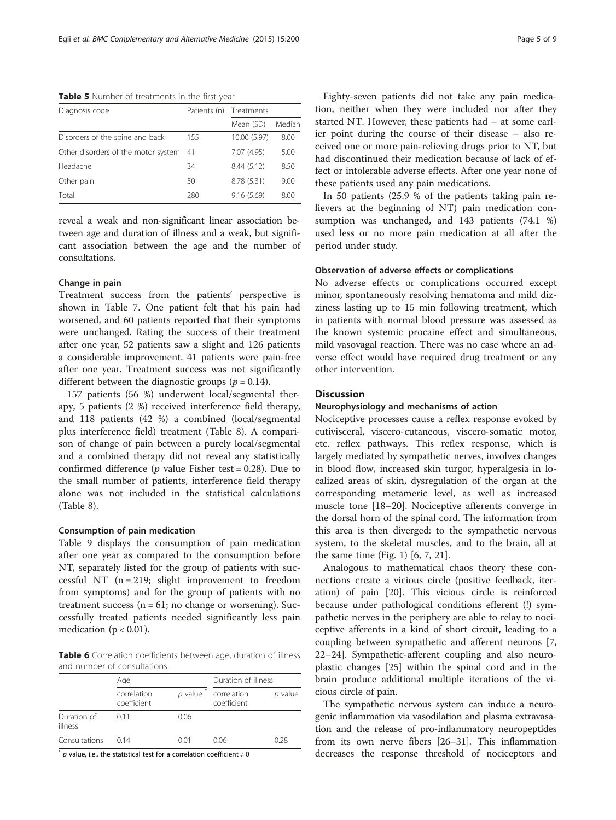<span id="page-4-0"></span>Table 5 Number of treatments in the first year

| Diagnosis code                      |     | Patients (n) Treatments |        |
|-------------------------------------|-----|-------------------------|--------|
|                                     |     | Mean (SD)               | Median |
| Disorders of the spine and back     | 155 | 10.00 (5.97)            | 8.00   |
| Other disorders of the motor system | -41 | 7.07 (4.95)             | 5.00   |
| Headache                            | 34  | 8.44 (5.12)             | 8.50   |
| Other pain                          | 50  | 8.78 (5.31)             | 9.00   |
| Total                               | 280 | 9.16(5.69)              | 8.00   |

reveal a weak and non-significant linear association between age and duration of illness and a weak, but significant association between the age and the number of consultations.

#### Change in pain

Treatment success from the patients' perspective is shown in Table [7.](#page-5-0) One patient felt that his pain had worsened, and 60 patients reported that their symptoms were unchanged. Rating the success of their treatment after one year, 52 patients saw a slight and 126 patients a considerable improvement. 41 patients were pain-free after one year. Treatment success was not significantly different between the diagnostic groups ( $p = 0.14$ ).

157 patients (56 %) underwent local/segmental therapy, 5 patients (2 %) received interference field therapy, and 118 patients (42 %) a combined (local/segmental plus interference field) treatment (Table [8](#page-5-0)). A comparison of change of pain between a purely local/segmental and a combined therapy did not reveal any statistically confirmed difference ( $p$  value Fisher test = 0.28). Due to the small number of patients, interference field therapy alone was not included in the statistical calculations (Table [8\)](#page-5-0).

#### Consumption of pain medication

Table [9](#page-5-0) displays the consumption of pain medication after one year as compared to the consumption before NT, separately listed for the group of patients with successful NT  $(n = 219;$  slight improvement to freedom from symptoms) and for the group of patients with no treatment success ( $n = 61$ ; no change or worsening). Successfully treated patients needed significantly less pain medication ( $p < 0.01$ ).

Table 6 Correlation coefficients between age, duration of illness and number of consultations

|                        | Age                        |           | Duration of illness        |           |  |
|------------------------|----------------------------|-----------|----------------------------|-----------|--|
|                        | correlation<br>coefficient | $p$ value | correlation<br>coefficient | $p$ value |  |
| Duration of<br>illness | 011                        | 0.06      |                            |           |  |
| Consultations          | 014                        | 0 O 1     | 0.06                       | 0.28      |  |

 $*$  p value, i.e., the statistical test for a correlation coefficient  $\neq 0$ 

Eighty-seven patients did not take any pain medication, neither when they were included nor after they started NT. However, these patients had – at some earlier point during the course of their disease – also received one or more pain-relieving drugs prior to NT, but had discontinued their medication because of lack of effect or intolerable adverse effects. After one year none of these patients used any pain medications.

In 50 patients (25.9 % of the patients taking pain relievers at the beginning of NT) pain medication consumption was unchanged, and 143 patients (74.1 %) used less or no more pain medication at all after the period under study.

#### Observation of adverse effects or complications

No adverse effects or complications occurred except minor, spontaneously resolving hematoma and mild dizziness lasting up to 15 min following treatment, which in patients with normal blood pressure was assessed as the known systemic procaine effect and simultaneous, mild vasovagal reaction. There was no case where an adverse effect would have required drug treatment or any other intervention.

#### **Discussion**

#### Neurophysiology and mechanisms of action

Nociceptive processes cause a reflex response evoked by cutivisceral, viscero-cutaneous, viscero-somatic motor, etc. reflex pathways. This reflex response, which is largely mediated by sympathetic nerves, involves changes in blood flow, increased skin turgor, hyperalgesia in localized areas of skin, dysregulation of the organ at the corresponding metameric level, as well as increased muscle tone [\[18](#page-8-0)–[20\]](#page-8-0). Nociceptive afferents converge in the dorsal horn of the spinal cord. The information from this area is then diverged: to the sympathetic nervous system, to the skeletal muscles, and to the brain, all at the same time (Fig. [1](#page-6-0)) [\[6](#page-7-0), [7](#page-7-0), [21](#page-8-0)].

Analogous to mathematical chaos theory these connections create a vicious circle (positive feedback, iteration) of pain [[20\]](#page-8-0). This vicious circle is reinforced because under pathological conditions efferent (!) sympathetic nerves in the periphery are able to relay to nociceptive afferents in a kind of short circuit, leading to a coupling between sympathetic and afferent neurons [\[7](#page-7-0), [22](#page-8-0)–[24](#page-8-0)]. Sympathetic-afferent coupling and also neuroplastic changes [[25\]](#page-8-0) within the spinal cord and in the brain produce additional multiple iterations of the vicious circle of pain.

The sympathetic nervous system can induce a neurogenic inflammation via vasodilation and plasma extravasation and the release of pro-inflammatory neuropeptides from its own nerve fibers [[26](#page-8-0)–[31\]](#page-8-0). This inflammation decreases the response threshold of nociceptors and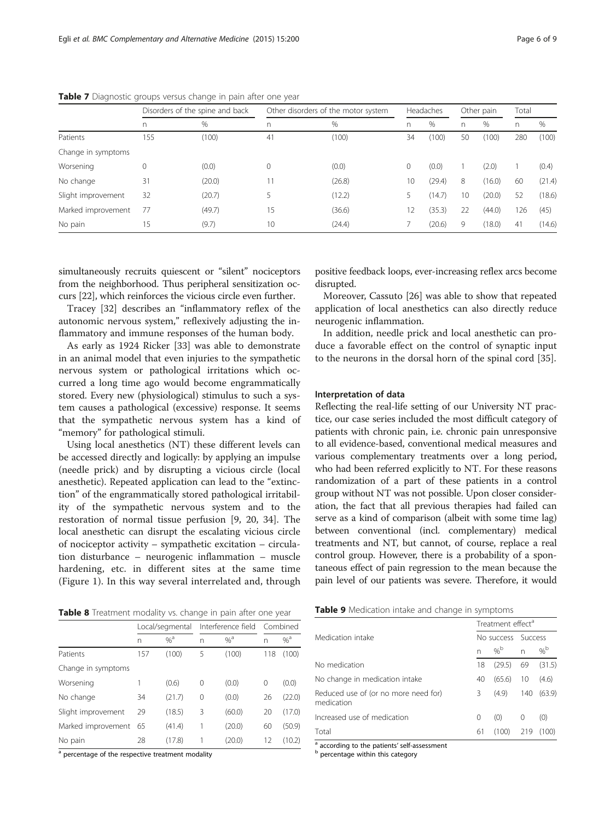|                    |     | Disorders of the spine and back |    | Other disorders of the motor system |              | Headaches |    | Other pain |          | Total  |  |
|--------------------|-----|---------------------------------|----|-------------------------------------|--------------|-----------|----|------------|----------|--------|--|
|                    | n.  | %                               | n  | %                                   | n            | %         | n  | %          | $\Gamma$ | %      |  |
| Patients           | 155 | (100)                           | 41 | (100)                               | 34           | (100)     | 50 | (100)      | 280      | (100)  |  |
| Change in symptoms |     |                                 |    |                                     |              |           |    |            |          |        |  |
| Worsening          | 0   | (0.0)                           | 0  | (0.0)                               | $\mathbf{0}$ | (0.0)     |    | (2.0)      |          | (0.4)  |  |
| No change          | 31  | (20.0)                          |    | (26.8)                              | 10           | (29.4)    | 8  | (16.0)     | 60       | (21.4) |  |
| Slight improvement | 32  | (20.7)                          |    | (12.2)                              | 5            | (14.7)    | 10 | (20.0)     | 52       | (18.6) |  |
| Marked improvement | 77  | (49.7)                          | 15 | (36.6)                              | 12           | (35.3)    | 22 | (44.0)     | 126      | (45)   |  |
| No pain            | 15  | (9.7)                           | 10 | (24.4)                              |              | (20.6)    | 9  | (18.0)     | 41       | (14.6) |  |

<span id="page-5-0"></span>Table 7 Diagnostic groups versus change in pain after one year

simultaneously recruits quiescent or "silent" nociceptors from the neighborhood. Thus peripheral sensitization occurs [\[22\]](#page-8-0), which reinforces the vicious circle even further.

Tracey [\[32](#page-8-0)] describes an "inflammatory reflex of the autonomic nervous system," reflexively adjusting the inflammatory and immune responses of the human body.

As early as 1924 Ricker [\[33](#page-8-0)] was able to demonstrate in an animal model that even injuries to the sympathetic nervous system or pathological irritations which occurred a long time ago would become engrammatically stored. Every new (physiological) stimulus to such a system causes a pathological (excessive) response. It seems that the sympathetic nervous system has a kind of "memory" for pathological stimuli.

Using local anesthetics (NT) these different levels can be accessed directly and logically: by applying an impulse (needle prick) and by disrupting a vicious circle (local anesthetic). Repeated application can lead to the "extinction" of the engrammatically stored pathological irritability of the sympathetic nervous system and to the restoration of normal tissue perfusion [\[9](#page-7-0), [20, 34](#page-8-0)]. The local anesthetic can disrupt the escalating vicious circle of nociceptor activity – sympathetic excitation – circulation disturbance – neurogenic inflammation – muscle hardening, etc. in different sites at the same time (Figure [1\)](#page-6-0). In this way several interrelated and, through

|  | Table 8 Treatment modality vs. change in pain after one year |  |  |
|--|--------------------------------------------------------------|--|--|
|  |                                                              |  |  |

| <b>I WINTED</b> TICALITIC ITIOGRAPHY VS. CHANGE AT PAINT SITCH STIC YOUT |                 |          |   |                    |          |                  |  |  |
|--------------------------------------------------------------------------|-----------------|----------|---|--------------------|----------|------------------|--|--|
|                                                                          | Local/segmental |          |   | Interference field | Combined |                  |  |  |
|                                                                          | n               | $\%^{a}$ | n | $%^a$              | n        | $%$ <sup>a</sup> |  |  |
| Patients                                                                 | 157             | (100)    | 5 | (100)              | 118      | (100)            |  |  |
| Change in symptoms                                                       |                 |          |   |                    |          |                  |  |  |
| Worsening                                                                |                 | (0.6)    | 0 | (0.0)              | 0        | (0.0)            |  |  |
| No change                                                                | 34              | (21.7)   | 0 | (0.0)              | 26       | (22.0)           |  |  |
| Slight improvement                                                       | 29              | (18.5)   | 3 | (60.0)             | 20       | (17.0)           |  |  |
| Marked improvement                                                       | 65              | (41.4)   | 1 | (20.0)             | 60       | (50.9)           |  |  |
| No pain                                                                  | 28              | (17.8)   |   | (20.0)             | 12       | (10.2)           |  |  |
|                                                                          |                 |          |   |                    |          |                  |  |  |

<sup>a</sup> percentage of the respective treatment modality

positive feedback loops, ever-increasing reflex arcs become disrupted.

Moreover, Cassuto [[26](#page-8-0)] was able to show that repeated application of local anesthetics can also directly reduce neurogenic inflammation.

In addition, needle prick and local anesthetic can produce a favorable effect on the control of synaptic input to the neurons in the dorsal horn of the spinal cord [[35\]](#page-8-0).

#### Interpretation of data

Reflecting the real-life setting of our University NT practice, our case series included the most difficult category of patients with chronic pain, i.e. chronic pain unresponsive to all evidence-based, conventional medical measures and various complementary treatments over a long period, who had been referred explicitly to NT. For these reasons randomization of a part of these patients in a control group without NT was not possible. Upon closer consideration, the fact that all previous therapies had failed can serve as a kind of comparison (albeit with some time lag) between conventional (incl. complementary) medical treatments and NT, but cannot, of course, replace a real control group. However, there is a probability of a spontaneous effect of pain regression to the mean because the pain level of our patients was severe. Therefore, it would

|  | Table 9 Medication intake and change in symptoms |  |  |  |  |  |  |
|--|--------------------------------------------------|--|--|--|--|--|--|
|--|--------------------------------------------------|--|--|--|--|--|--|

|                                                    |   | Treatment effect <sup>a</sup> |                 |                    |                 |  |
|----------------------------------------------------|---|-------------------------------|-----------------|--------------------|-----------------|--|
| Medication intake                                  |   |                               |                 | No success Success |                 |  |
|                                                    |   | n                             | $\%^{\text{b}}$ | n                  | $\%^{\text{b}}$ |  |
| No medication                                      |   | 18                            | (29.5)          | 69                 | (31.5)          |  |
| No change in medication intake                     |   | 40                            | (65.6)          | 10                 | (4.6)           |  |
| Reduced use of (or no more need for)<br>medication | Β |                               | (4.9)           |                    | 140 (63.9)      |  |
| Increased use of medication                        | 0 |                               | (0)             | 0                  | (0)             |  |
| Total                                              |   | 61                            | (100)           | 219                | (100)           |  |

 $a$  according to the patients' self-assessment<br>b percentage within this category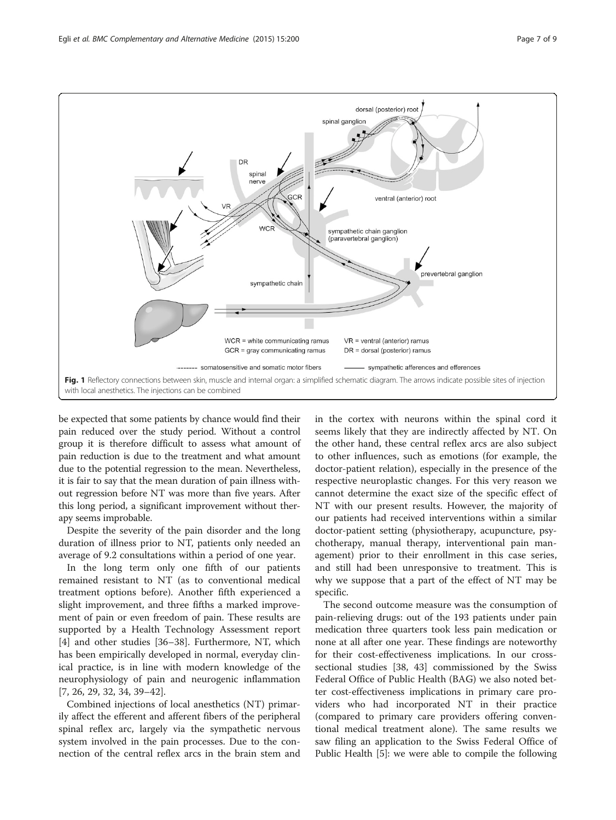<span id="page-6-0"></span>

be expected that some patients by chance would find their pain reduced over the study period. Without a control group it is therefore difficult to assess what amount of pain reduction is due to the treatment and what amount due to the potential regression to the mean. Nevertheless, it is fair to say that the mean duration of pain illness without regression before NT was more than five years. After this long period, a significant improvement without therapy seems improbable.

Despite the severity of the pain disorder and the long duration of illness prior to NT, patients only needed an average of 9.2 consultations within a period of one year.

In the long term only one fifth of our patients remained resistant to NT (as to conventional medical treatment options before). Another fifth experienced a slight improvement, and three fifths a marked improvement of pain or even freedom of pain. These results are supported by a Health Technology Assessment report [[4\]](#page-7-0) and other studies [[36](#page-8-0)–[38](#page-8-0)]. Furthermore, NT, which has been empirically developed in normal, everyday clinical practice, is in line with modern knowledge of the neurophysiology of pain and neurogenic inflammation [[7,](#page-7-0) [26, 29, 32](#page-8-0), [34](#page-8-0), [39](#page-8-0)–[42](#page-8-0)].

Combined injections of local anesthetics (NT) primarily affect the efferent and afferent fibers of the peripheral spinal reflex arc, largely via the sympathetic nervous system involved in the pain processes. Due to the connection of the central reflex arcs in the brain stem and in the cortex with neurons within the spinal cord it seems likely that they are indirectly affected by NT. On the other hand, these central reflex arcs are also subject to other influences, such as emotions (for example, the doctor-patient relation), especially in the presence of the respective neuroplastic changes. For this very reason we cannot determine the exact size of the specific effect of NT with our present results. However, the majority of our patients had received interventions within a similar doctor-patient setting (physiotherapy, acupuncture, psychotherapy, manual therapy, interventional pain management) prior to their enrollment in this case series, and still had been unresponsive to treatment. This is why we suppose that a part of the effect of NT may be specific.

The second outcome measure was the consumption of pain-relieving drugs: out of the 193 patients under pain medication three quarters took less pain medication or none at all after one year. These findings are noteworthy for their cost-effectiveness implications. In our crosssectional studies [[38, 43](#page-8-0)] commissioned by the Swiss Federal Office of Public Health (BAG) we also noted better cost-effectiveness implications in primary care providers who had incorporated NT in their practice (compared to primary care providers offering conventional medical treatment alone). The same results we saw filing an application to the Swiss Federal Office of Public Health [\[5\]](#page-7-0): we were able to compile the following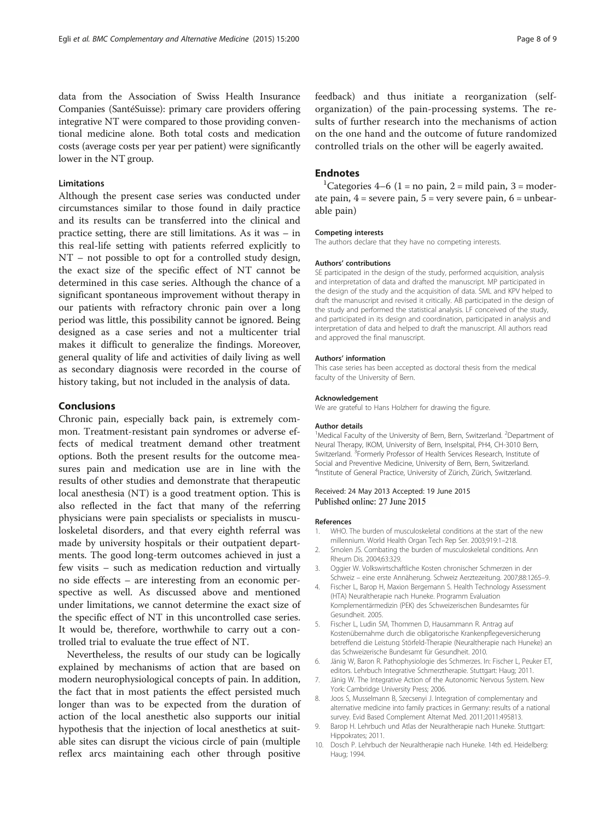<span id="page-7-0"></span>data from the Association of Swiss Health Insurance Companies (SantéSuisse): primary care providers offering integrative NT were compared to those providing conventional medicine alone. Both total costs and medication costs (average costs per year per patient) were significantly lower in the NT group.

#### Limitations

Although the present case series was conducted under circumstances similar to those found in daily practice and its results can be transferred into the clinical and practice setting, there are still limitations. As it was – in this real-life setting with patients referred explicitly to NT – not possible to opt for a controlled study design, the exact size of the specific effect of NT cannot be determined in this case series. Although the chance of a significant spontaneous improvement without therapy in our patients with refractory chronic pain over a long period was little, this possibility cannot be ignored. Being designed as a case series and not a multicenter trial makes it difficult to generalize the findings. Moreover, general quality of life and activities of daily living as well as secondary diagnosis were recorded in the course of history taking, but not included in the analysis of data.

#### Conclusions

Chronic pain, especially back pain, is extremely common. Treatment-resistant pain syndromes or adverse effects of medical treatment demand other treatment options. Both the present results for the outcome measures pain and medication use are in line with the results of other studies and demonstrate that therapeutic local anesthesia (NT) is a good treatment option. This is also reflected in the fact that many of the referring physicians were pain specialists or specialists in musculoskeletal disorders, and that every eighth referral was made by university hospitals or their outpatient departments. The good long-term outcomes achieved in just a few visits – such as medication reduction and virtually no side effects – are interesting from an economic perspective as well. As discussed above and mentioned under limitations, we cannot determine the exact size of the specific effect of NT in this uncontrolled case series. It would be, therefore, worthwhile to carry out a controlled trial to evaluate the true effect of NT.

Nevertheless, the results of our study can be logically explained by mechanisms of action that are based on modern neurophysiological concepts of pain. In addition, the fact that in most patients the effect persisted much longer than was to be expected from the duration of action of the local anesthetic also supports our initial hypothesis that the injection of local anesthetics at suitable sites can disrupt the vicious circle of pain (multiple reflex arcs maintaining each other through positive

feedback) and thus initiate a reorganization (selforganization) of the pain-processing systems. The results of further research into the mechanisms of action on the one hand and the outcome of future randomized controlled trials on the other will be eagerly awaited.

#### **Endnotes**

<sup>1</sup>Categories 4–6 (1 = no pain, 2 = mild pain, 3 = moderate pain,  $4$  = severe pain,  $5$  = very severe pain,  $6$  = unbearable pain)

#### Competing interests

The authors declare that they have no competing interests.

#### Authors' contributions

SE participated in the design of the study, performed acquisition, analysis and interpretation of data and drafted the manuscript. MP participated in the design of the study and the acquisition of data. SML and KPV helped to draft the manuscript and revised it critically. AB participated in the design of the study and performed the statistical analysis. LF conceived of the study, and participated in its design and coordination, participated in analysis and interpretation of data and helped to draft the manuscript. All authors read and approved the final manuscript.

#### Authors' information

This case series has been accepted as doctoral thesis from the medical faculty of the University of Bern.

#### Acknowledgement

We are grateful to Hans Holzherr for drawing the figure.

#### Author details

<sup>1</sup>Medical Faculty of the University of Bern, Bern, Switzerland. <sup>2</sup>Department of Neural Therapy, IKOM, University of Bern, Inselspital, PH4, CH-3010 Bern, Switzerland. <sup>3</sup>Formerly Professor of Health Services Research, Institute of Social and Preventive Medicine, University of Bern, Bern, Switzerland. 4 Institute of General Practice, University of Zürich, Zürich, Switzerland.

#### Received: 24 May 2013 Accepted: 19 June 2015 Published online: 27 June 2015

#### References

- 1. WHO. The burden of musculoskeletal conditions at the start of the new millennium. World Health Organ Tech Rep Ser. 2003;919:1–218.
- 2. Smolen JS. Combating the burden of musculoskeletal conditions. Ann Rheum Dis. 2004;63:329.
- 3. Oggier W. Volkswirtschaftliche Kosten chronischer Schmerzen in der Schweiz – eine erste Annäherung. Schweiz Aerztezeitung. 2007;88:1265–9.
- 4. Fischer L, Barop H, Maxion Bergemann S. Health Technology Assessment (HTA) Neuraltherapie nach Huneke. Programm Evaluation Komplementärmedizin (PEK) des Schweizerischen Bundesamtes für Gesundheit. 2005.
- 5. Fischer L, Ludin SM, Thommen D, Hausammann R. Antrag auf Kostenübernahme durch die obligatorische Krankenpflegeversicherung betreffend die Leistung Störfeld-Therapie (Neuraltherapie nach Huneke) an das Schweizerische Bundesamt für Gesundheit. 2010.
- 6. Jänig W, Baron R. Pathophysiologie des Schmerzes. In: Fischer L, Peuker ET, editors. Lehrbuch Integrative Schmerztherapie. Stuttgart: Haug; 2011.
- 7. Jänig W. The Integrative Action of the Autonomic Nervous System. New York: Cambridge University Press; 2006.
- 8. Joos S, Musselmann B, Szecsenyi J. Integration of complementary and alternative medicine into family practices in Germany: results of a national survey. Evid Based Complement Alternat Med. 2011;2011:495813.
- 9. Barop H. Lehrbuch und Atlas der Neuraltherapie nach Huneke. Stuttgart: Hippokrates; 2011.
- 10. Dosch P. Lehrbuch der Neuraltherapie nach Huneke. 14th ed. Heidelberg: Haug; 1994.